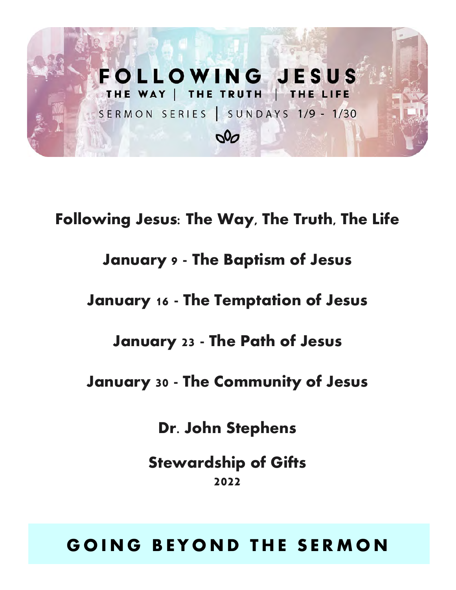

**Following Jesus: The Way, The Truth, The Life January 9 - The Baptism of Jesus January 16 - The Temptation of Jesus January 23 - The Path of Jesus January 30 - The Community of Jesus Dr. John Stephens**

> **Stewardship of Gifts 2022**

# **G O I N G B E Y O N D T H E S E R M O N**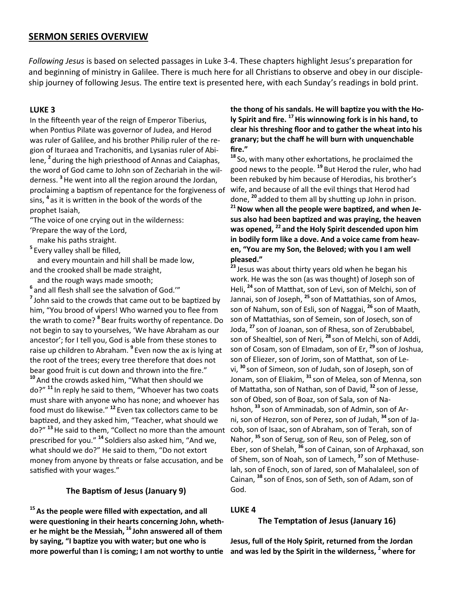#### **SERMON SERIES OVERVIEW**

*Following Jesus* is based on selected passages in Luke 3-4. These chapters highlight Jesus's preparation for and beginning of ministry in Galilee. There is much here for all Christians to observe and obey in our discipleship journey of following Jesus. The entire text is presented here, with each Sunday's readings in bold print.

#### **LUKE 3**

In the fifteenth year of the reign of Emperor Tiberius, when Pontius Pilate was governor of Judea, and Herod was ruler of Galilee, and his brother Philip ruler of the region of Ituraea and Trachonitis, and Lysanias ruler of Abilene, **<sup>2</sup>** during the high priesthood of Annas and Caiaphas, the word of God came to John son of Zechariah in the wilderness. **<sup>3</sup>**He went into all the region around the Jordan, proclaiming a baptism of repentance for the forgiveness of sins, **<sup>4</sup>** as it is written in the book of the words of the prophet Isaiah,

"The voice of one crying out in the wilderness:

'Prepare the way of the Lord,

make his paths straight.

**5** Every valley shall be filled,

 and every mountain and hill shall be made low, and the crooked shall be made straight,

and the rough ways made smooth;

**6** and all flesh shall see the salvation of God.'"

**7** John said to the crowds that came out to be baptized by him, "You brood of vipers! Who warned you to flee from the wrath to come? **<sup>8</sup>** Bear fruits worthy of repentance. Do not begin to say to yourselves, 'We have Abraham as our ancestor'; for I tell you, God is able from these stones to raise up children to Abraham. **<sup>9</sup>** Even now the ax is lying at the root of the trees; every tree therefore that does not bear good fruit is cut down and thrown into the fire." **<sup>10</sup>** And the crowds asked him, "What then should we do?" **<sup>11</sup>** In reply he said to them, "Whoever has two coats must share with anyone who has none; and whoever has food must do likewise." **<sup>12</sup>** Even tax collectors came to be baptized, and they asked him, "Teacher, what should we do?" **<sup>13</sup>**He said to them, "Collect no more than the amount prescribed for you." **<sup>14</sup>** Soldiers also asked him, "And we, what should we do?" He said to them, "Do not extort money from anyone by threats or false accusation, and be satisfied with your wages."

#### **The Baptism of Jesus (January 9)**

**<sup>15</sup>As the people were filled with expectation, and all were questioning in their hearts concerning John, whether he might be the Messiah, <sup>16</sup> John answered all of them by saying, "I baptize you with water; but one who is more powerful than I is coming; I am not worthy to untie** 

**the thong of his sandals. He will baptize you with the Holy Spirit and fire. <sup>17</sup>His winnowing fork is in his hand, to clear his threshing floor and to gather the wheat into his granary; but the chaff he will burn with unquenchable fire."**

**<sup>18</sup>** So, with many other exhortations, he proclaimed the good news to the people. **<sup>19</sup>** But Herod the ruler, who had been rebuked by him because of Herodias, his brother's wife, and because of all the evil things that Herod had done, **<sup>20</sup>** added to them all by shutting up John in prison.

**<sup>21</sup>Now when all the people were baptized, and when Jesus also had been baptized and was praying, the heaven was opened, <sup>22</sup> and the Holy Spirit descended upon him in bodily form like a dove. And a voice came from heaven, "You are my Son, the Beloved; with you I am well pleased."** 

**<sup>23</sup>** Jesus was about thirty years old when he began his work. He was the son (as was thought) of Joseph son of Heli, **<sup>24</sup>** son of Matthat, son of Levi, son of Melchi, son of Jannai, son of Joseph, **<sup>25</sup>** son of Mattathias, son of Amos, son of Nahum, son of Esli, son of Naggai, **<sup>26</sup>** son of Maath, son of Mattathias, son of Semein, son of Josech, son of Joda, **<sup>27</sup>** son of Joanan, son of Rhesa, son of Zerubbabel, son of Shealtiel, son of Neri, **<sup>28</sup>** son of Melchi, son of Addi, son of Cosam, son of Elmadam, son of Er, **<sup>29</sup>** son of Joshua, son of Eliezer, son of Jorim, son of Matthat, son of Levi, **<sup>30</sup>** son of Simeon, son of Judah, son of Joseph, son of Jonam, son of Eliakim, **<sup>31</sup>** son of Melea, son of Menna, son of Mattatha, son of Nathan, son of David, **<sup>32</sup>** son of Jesse, son of Obed, son of Boaz, son of Sala, son of Nahshon, **<sup>33</sup>** son of Amminadab, son of Admin, son of Arni, son of Hezron, son of Perez, son of Judah, **<sup>34</sup>** son of Jacob, son of Isaac, son of Abraham, son of Terah, son of Nahor, **<sup>35</sup>** son of Serug, son of Reu, son of Peleg, son of Eber, son of Shelah, **<sup>36</sup>** son of Cainan, son of Arphaxad, son of Shem, son of Noah, son of Lamech, **<sup>37</sup>** son of Methuselah, son of Enoch, son of Jared, son of Mahalaleel, son of Cainan, **<sup>38</sup>** son of Enos, son of Seth, son of Adam, son of God.

#### **LUKE 4**

#### **The Temptation of Jesus (January 16)**

**Jesus, full of the Holy Spirit, returned from the Jordan and was led by the Spirit in the wilderness, <sup>2</sup>where for**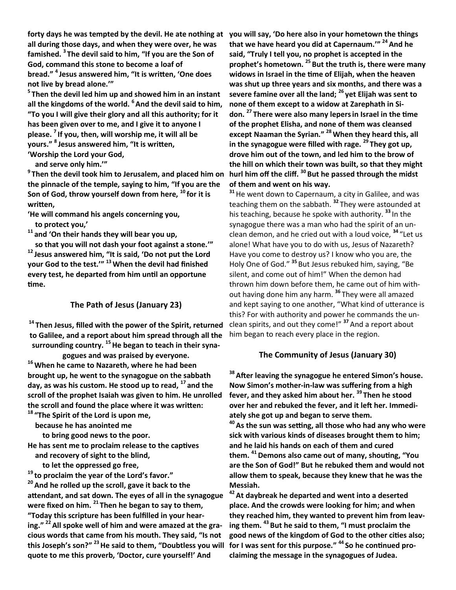**all during those days, and when they were over, he was famished. <sup>3</sup> The devil said to him, "If you are the Son of God, command this stone to become a loaf of bread." 4 Jesus answered him, "It is written, 'One does not live by bread alone.'"**

**5 Then the devil led him up and showed him in an instant all the kingdoms of the world. <sup>6</sup> And the devil said to him, "To you I will give their glory and all this authority; for it has been given over to me, and I give it to anyone I please. <sup>7</sup> If you, then, will worship me, it will all be yours." 8 Jesus answered him, "It is written, 'Worship the Lord your God,**

 **and serve only him.'"**

**9 Then the devil took him to Jerusalem, and placed him on the pinnacle of the temple, saying to him, "If you are the Son of God, throw yourself down from here, <sup>10</sup> for it is written,**

**'He will command his angels concerning you, to protect you,'**

**<sup>11</sup> and 'On their hands they will bear you up,**

 **so that you will not dash your foot against a stone.'" <sup>12</sup> Jesus answered him, "It is said, 'Do not put the Lord your God to the test.'" <sup>13</sup>When the devil had finished every test, he departed from him until an opportune time.**

#### **The Path of Jesus (January 23)**

**<sup>14</sup> Then Jesus, filled with the power of the Spirit, returned to Galilee, and a report about him spread through all the surrounding country. <sup>15</sup>He began to teach in their syna-**

**gogues and was praised by everyone. <sup>16</sup>When he came to Nazareth, where he had been brought up, he went to the synagogue on the sabbath day, as was his custom. He stood up to read, <sup>17</sup> and the scroll of the prophet Isaiah was given to him. He unrolled the scroll and found the place where it was written:**

**<sup>18</sup> "The Spirit of the Lord is upon me,**

 **because he has anointed me**

 **to bring good news to the poor.**

**He has sent me to proclaim release to the captives and recovery of sight to the blind,**

 **to let the oppressed go free,**

**<sup>19</sup> to proclaim the year of the Lord's favor." <sup>20</sup>And he rolled up the scroll, gave it back to the attendant, and sat down. The eyes of all in the synagogue were fixed on him. <sup>21</sup> Then he began to say to them, "Today this scripture has been fulfilled in your hearing." <sup>22</sup>All spoke well of him and were amazed at the gracious words that came from his mouth. They said, "Is not this Joseph's son?" <sup>23</sup>He said to them, "Doubtless you will quote to me this proverb, 'Doctor, cure yourself!' And** 

**forty days he was tempted by the devil. He ate nothing at you will say, 'Do here also in your hometown the things that we have heard you did at Capernaum.'" <sup>24</sup>And he said, "Truly I tell you, no prophet is accepted in the prophet's hometown. <sup>25</sup> But the truth is, there were many widows in Israel in the time of Elijah, when the heaven was shut up three years and six months, and there was a severe famine over all the land; <sup>26</sup> yet Elijah was sent to none of them except to a widow at Zarephath in Sidon. <sup>27</sup> There were also many lepersin Israel in the time of the prophet Elisha, and none of them was cleansed except Naaman the Syrian." <sup>28</sup>When they heard this, all in the synagogue were filled with rage. <sup>29</sup> They got up, drove him out of the town, and led him to the brow of the hill on which their town was built, so that they might hurl him off the cliff. <sup>30</sup> But he passed through the midst of them and went on his way.**

**<sup>31</sup>**He went down to Capernaum, a city in Galilee, and was teaching them on the sabbath. **<sup>32</sup>** They were astounded at his teaching, because he spoke with authority. **<sup>33</sup>** In the synagogue there was a man who had the spirit of an unclean demon, and he cried out with a loud voice, **<sup>34</sup>** "Let us alone! What have you to do with us, Jesus of Nazareth? Have you come to destroy us? I know who you are, the Holy One of God." **<sup>35</sup>** But Jesus rebuked him, saying, "Be silent, and come out of him!" When the demon had thrown him down before them, he came out of him without having done him any harm. **<sup>36</sup>** They were all amazed and kept saying to one another, "What kind of utterance is this? For with authority and power he commands the unclean spirits, and out they come!" **<sup>37</sup>** And a report about him began to reach every place in the region.

#### **The Community of Jesus (January 30)**

**<sup>38</sup>After leaving the synagogue he entered Simon's house. Now Simon's mother-in-law was suffering from a high fever, and they asked him about her. <sup>39</sup> Then he stood over her and rebuked the fever, and it left her. Immediately she got up and began to serve them.**

**<sup>40</sup>As the sun was setting, all those who had any who were sick with various kinds of diseases brought them to him; and he laid his hands on each of them and cured them. <sup>41</sup>Demons also came out of many, shouting, "You are the Son of God!" But he rebuked them and would not allow them to speak, because they knew that he was the Messiah.**

**<sup>42</sup>At daybreak he departed and went into a deserted place. And the crowds were looking for him; and when they reached him, they wanted to prevent him from leaving them. <sup>43</sup> But he said to them, "I must proclaim the good news of the kingdom of God to the other cities also; for I was sent for this purpose." <sup>44</sup> So he continued proclaiming the message in the synagogues of Judea.**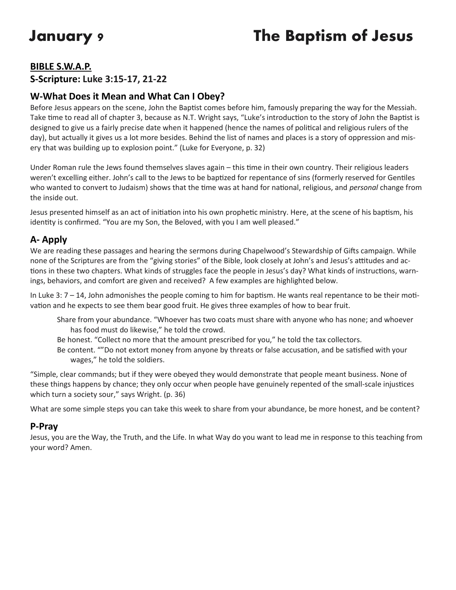# **January 9 The Baptism of Jesus**

#### **BIBLE S.W.A.P.**

### **S-Scripture: Luke 3:15-17, 21-22**

### **W-What Does it Mean and What Can I Obey?**

Before Jesus appears on the scene, John the Baptist comes before him, famously preparing the way for the Messiah. Take time to read all of chapter 3, because as N.T. Wright says, "Luke's introduction to the story of John the Baptist is designed to give us a fairly precise date when it happened (hence the names of political and religious rulers of the day), but actually it gives us a lot more besides. Behind the list of names and places is a story of oppression and misery that was building up to explosion point." (Luke for Everyone, p. 32)

Under Roman rule the Jews found themselves slaves again – this time in their own country. Their religious leaders weren't excelling either. John's call to the Jews to be baptized for repentance of sins (formerly reserved for Gentiles who wanted to convert to Judaism) shows that the time was at hand for national, religious, and *personal* change from the inside out.

Jesus presented himself as an act of initiation into his own prophetic ministry. Here, at the scene of his baptism, his identity is confirmed. "You are my Son, the Beloved, with you I am well pleased."

## **A- Apply**

We are reading these passages and hearing the sermons during Chapelwood's Stewardship of Gifts campaign. While none of the Scriptures are from the "giving stories" of the Bible, look closely at John's and Jesus's attitudes and actions in these two chapters. What kinds of struggles face the people in Jesus's day? What kinds of instructions, warnings, behaviors, and comfort are given and received? A few examples are highlighted below.

In Luke 3: 7 – 14, John admonishes the people coming to him for baptism. He wants real repentance to be their motivation and he expects to see them bear good fruit. He gives three examples of how to bear fruit.

- Share from your abundance. "Whoever has two coats must share with anyone who has none; and whoever has food must do likewise," he told the crowd.
- Be honest. "Collect no more that the amount prescribed for you," he told the tax collectors.
- Be content. ""Do not extort money from anyone by threats or false accusation, and be satisfied with your wages," he told the soldiers.

"Simple, clear commands; but if they were obeyed they would demonstrate that people meant business. None of these things happens by chance; they only occur when people have genuinely repented of the small-scale injustices which turn a society sour," says Wright. (p. 36)

What are some simple steps you can take this week to share from your abundance, be more honest, and be content?

#### **P-Pray**

Jesus, you are the Way, the Truth, and the Life. In what Way do you want to lead me in response to this teaching from your word? Amen.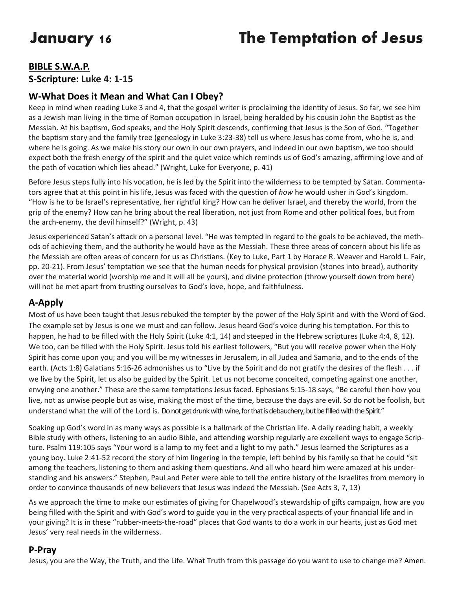# **January 16 The Temptation of Jesus**

## **BIBLE S.W.A.P. S-Scripture: Luke 4: 1-15**

### **W-What Does it Mean and What Can I Obey?**

Keep in mind when reading Luke 3 and 4, that the gospel writer is proclaiming the identity of Jesus. So far, we see him as a Jewish man living in the time of Roman occupation in Israel, being heralded by his cousin John the Baptist as the Messiah. At his baptism, God speaks, and the Holy Spirit descends, confirming that Jesus is the Son of God. "Together the baptism story and the family tree (genealogy in Luke 3:23-38) tell us where Jesus has come from, who he is, and where he is going. As we make his story our own in our own prayers, and indeed in our own baptism, we too should expect both the fresh energy of the spirit and the quiet voice which reminds us of God's amazing, affirming love and of the path of vocation which lies ahead." (Wright, Luke for Everyone, p. 41)

Before Jesus steps fully into his vocation, he is led by the Spirit into the wilderness to be tempted by Satan. Commentators agree that at this point in his life, Jesus was faced with the question of *how* he would usher in God's kingdom. "How is he to be Israel's representative, her rightful king? How can he deliver Israel, and thereby the world, from the grip of the enemy? How can he bring about the real liberation, not just from Rome and other political foes, but from the arch-enemy, the devil himself?" (Wright, p. 43)

Jesus experienced Satan's attack on a personal level. "He was tempted in regard to the goals to be achieved, the methods of achieving them, and the authority he would have as the Messiah. These three areas of concern about his life as the Messiah are often areas of concern for us as Christians. (Key to Luke, Part 1 by Horace R. Weaver and Harold L. Fair, pp. 20-21). From Jesus' temptation we see that the human needs for physical provision (stones into bread), authority over the material world (worship me and it will all be yours), and divine protection (throw yourself down from here) will not be met apart from trusting ourselves to God's love, hope, and faithfulness.

## **A-Apply**

Most of us have been taught that Jesus rebuked the tempter by the power of the Holy Spirit and with the Word of God. The example set by Jesus is one we must and can follow. Jesus heard God's voice during his temptation. For this to happen, he had to be filled with the Holy Spirit (Luke 4:1, 14) and steeped in the Hebrew scriptures (Luke 4:4, 8, 12). We too, can be filled with the Holy Spirit. Jesus told his earliest followers, "But you will receive power when the Holy Spirit has come upon you; and you will be my witnesses in Jerusalem, in all Judea and Samaria, and to the ends of the earth. (Acts 1:8) Galatians 5:16-26 admonishes us to "Live by the Spirit and do not gratify the desires of the flesh . . . if we live by the Spirit, let us also be guided by the Spirit. Let us not become conceited, competing against one another, envying one another." These are the same temptations Jesus faced. Ephesians 5:15-18 says, "Be careful then how you live, not as unwise people but as wise, making the most of the time, because the days are evil. So do not be foolish, but understand what the will of the Lord is. Do not get drunk with wine, for that is debauchery, but be filled with the Spirit."

Soaking up God's word in as many ways as possible is a hallmark of the Christian life. A daily reading habit, a weekly Bible study with others, listening to an audio Bible, and attending worship regularly are excellent ways to engage Scripture. Psalm 119:105 says "Your word is a lamp to my feet and a light to my path." Jesus learned the Scriptures as a young boy. Luke 2:41-52 record the story of him lingering in the temple, left behind by his family so that he could "sit among the teachers, listening to them and asking them questions. And all who heard him were amazed at his understanding and his answers." Stephen, Paul and Peter were able to tell the entire history of the Israelites from memory in order to convince thousands of new believers that Jesus was indeed the Messiah. (See Acts 3, 7, 13)

As we approach the time to make our estimates of giving for Chapelwood's stewardship of gifts campaign, how are you being filled with the Spirit and with God's word to guide you in the very practical aspects of your financial life and in your giving? It is in these "rubber-meets-the-road" places that God wants to do a work in our hearts, just as God met Jesus' very real needs in the wilderness.

#### **P-Pray**

Jesus, you are the Way, the Truth, and the Life. What Truth from this passage do you want to use to change me? Amen.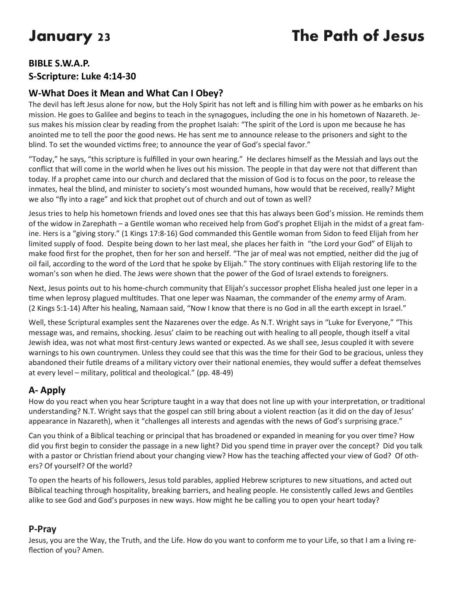# **January 23 The Path of Jesus**

## **BIBLE S.W.A.P. S-Scripture: Luke 4:14-30**

# **W-What Does it Mean and What Can I Obey?**

The devil has left Jesus alone for now, but the Holy Spirit has not left and is filling him with power as he embarks on his mission. He goes to Galilee and begins to teach in the synagogues, including the one in his hometown of Nazareth. Jesus makes his mission clear by reading from the prophet Isaiah: "The spirit of the Lord is upon me because he has anointed me to tell the poor the good news. He has sent me to announce release to the prisoners and sight to the blind. To set the wounded victims free; to announce the year of God's special favor."

"Today," he says, "this scripture is fulfilled in your own hearing." He declares himself as the Messiah and lays out the conflict that will come in the world when he lives out his mission. The people in that day were not that different than today. If a prophet came into our church and declared that the mission of God is to focus on the poor, to release the inmates, heal the blind, and minister to society's most wounded humans, how would that be received, really? Might we also "fly into a rage" and kick that prophet out of church and out of town as well?

Jesus tries to help his hometown friends and loved ones see that this has always been God's mission. He reminds them of the widow in Zarephath – a Gentile woman who received help from God's prophet Elijah in the midst of a great famine. Hers is a "giving story." (1 Kings 17:8-16) God commanded this Gentile woman from Sidon to feed Elijah from her limited supply of food. Despite being down to her last meal, she places her faith in "the Lord your God" of Elijah to make food first for the prophet, then for her son and herself. "The jar of meal was not emptied, neither did the jug of oil fail, according to the word of the Lord that he spoke by Elijah." The story continues with Elijah restoring life to the woman's son when he died. The Jews were shown that the power of the God of Israel extends to foreigners.

Next, Jesus points out to his home-church community that Elijah's successor prophet Elisha healed just one leper in a time when leprosy plagued multitudes. That one leper was Naaman, the commander of the *enemy* army of Aram. (2 Kings 5:1-14) After his healing, Namaan said, "Now I know that there is no God in all the earth except in Israel."

Well, these Scriptural examples sent the Nazarenes over the edge. As N.T. Wright says in "Luke for Everyone," "This message was, and remains, shocking. Jesus' claim to be reaching out with healing to all people, though itself a vital Jewish idea, was not what most first-century Jews wanted or expected. As we shall see, Jesus coupled it with severe warnings to his own countrymen. Unless they could see that this was the time for their God to be gracious, unless they abandoned their futile dreams of a military victory over their national enemies, they would suffer a defeat themselves at every level – military, political and theological." (pp. 48-49)

# **A- Apply**

How do you react when you hear Scripture taught in a way that does not line up with your interpretation, or traditional understanding? N.T. Wright says that the gospel can still bring about a violent reaction (as it did on the day of Jesus' appearance in Nazareth), when it "challenges all interests and agendas with the news of God's surprising grace."

Can you think of a Biblical teaching or principal that has broadened or expanded in meaning for you over time? How did you first begin to consider the passage in a new light? Did you spend time in prayer over the concept? Did you talk with a pastor or Christian friend about your changing view? How has the teaching affected your view of God? Of others? Of yourself? Of the world?

To open the hearts of his followers, Jesus told parables, applied Hebrew scriptures to new situations, and acted out Biblical teaching through hospitality, breaking barriers, and healing people. He consistently called Jews and Gentiles alike to see God and God's purposes in new ways. How might he be calling you to open your heart today?

## **P-Pray**

Jesus, you are the Way, the Truth, and the Life. How do you want to conform me to your Life, so that I am a living reflection of you? Amen.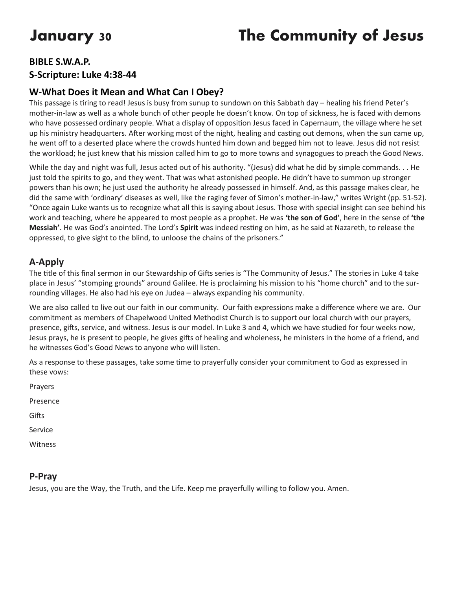# **January 30 The Community of Jesus**

# **BIBLE S.W.A.P. S-Scripture: Luke 4:38-44**

## **W-What Does it Mean and What Can I Obey?**

This passage is tiring to read! Jesus is busy from sunup to sundown on this Sabbath day – healing his friend Peter's mother-in-law as well as a whole bunch of other people he doesn't know. On top of sickness, he is faced with demons who have possessed ordinary people. What a display of opposition Jesus faced in Capernaum, the village where he set up his ministry headquarters. After working most of the night, healing and casting out demons, when the sun came up, he went off to a deserted place where the crowds hunted him down and begged him not to leave. Jesus did not resist the workload; he just knew that his mission called him to go to more towns and synagogues to preach the Good News.

While the day and night was full, Jesus acted out of his authority. "(Jesus) did what he did by simple commands. . . He just told the spirits to go, and they went. That was what astonished people. He didn't have to summon up stronger powers than his own; he just used the authority he already possessed in himself. And, as this passage makes clear, he did the same with 'ordinary' diseases as well, like the raging fever of Simon's mother-in-law," writes Wright (pp. 51-52). "Once again Luke wants us to recognize what all this is saying about Jesus. Those with special insight can see behind his work and teaching, where he appeared to most people as a prophet. He was **'the son of God'**, here in the sense of **'the Messiah'**. He was God's anointed. The Lord's **Spirit** was indeed resting on him, as he said at Nazareth, to release the oppressed, to give sight to the blind, to unloose the chains of the prisoners."

### **A-Apply**

The title of this final sermon in our Stewardship of Gifts series is "The Community of Jesus." The stories in Luke 4 take place in Jesus' "stomping grounds" around Galilee. He is proclaiming his mission to his "home church" and to the surrounding villages. He also had his eye on Judea – always expanding his community.

We are also called to live out our faith in our community. Our faith expressions make a difference where we are. Our commitment as members of Chapelwood United Methodist Church is to support our local church with our prayers, presence, gifts, service, and witness. Jesus is our model. In Luke 3 and 4, which we have studied for four weeks now, Jesus prays, he is present to people, he gives gifts of healing and wholeness, he ministers in the home of a friend, and he witnesses God's Good News to anyone who will listen.

As a response to these passages, take some time to prayerfully consider your commitment to God as expressed in these vows:

Prayers Presence

**Gifts** 

Service

Witness

#### **P-Pray**

Jesus, you are the Way, the Truth, and the Life. Keep me prayerfully willing to follow you. Amen.